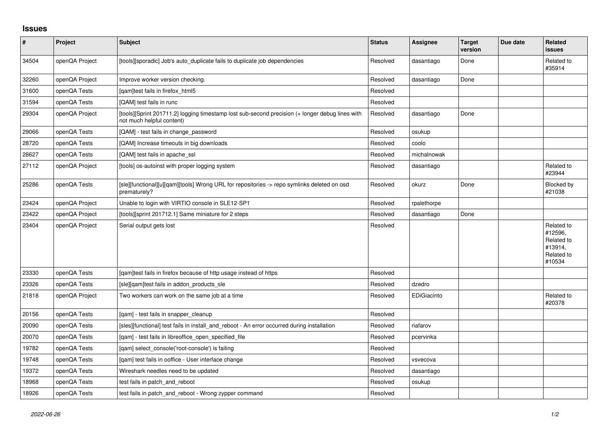## **Issues**

| $\vert$ # | Project        | <b>Subject</b>                                                                                                               | <b>Status</b> | <b>Assignee</b> | <b>Target</b><br>version | Due date | Related<br><b>issues</b>                                               |
|-----------|----------------|------------------------------------------------------------------------------------------------------------------------------|---------------|-----------------|--------------------------|----------|------------------------------------------------------------------------|
| 34504     | openQA Project | [tools][sporadic] Job's auto duplicate fails to duplicate job dependencies                                                   | Resolved      | dasantiago      | Done                     |          | Related to<br>#35914                                                   |
| 32260     | openQA Project | Improve worker version checking.                                                                                             | Resolved      | dasantiago      | Done                     |          |                                                                        |
| 31600     | openQA Tests   | [gam]test fails in firefox html5                                                                                             | Resolved      |                 |                          |          |                                                                        |
| 31594     | openQA Tests   | [QAM] test fails in runc                                                                                                     | Resolved      |                 |                          |          |                                                                        |
| 29304     | openQA Project | [tools][Sprint 201711.2] logging timestamp lost sub-second precision (+ longer debug lines with<br>not much helpful content) | Resolved      | dasantiago      | Done                     |          |                                                                        |
| 29066     | openQA Tests   | [QAM] - test fails in change password                                                                                        | Resolved      | osukup          |                          |          |                                                                        |
| 28720     | openQA Tests   | [QAM] Increase timeouts in big downloads                                                                                     | Resolved      | coolo           |                          |          |                                                                        |
| 28627     | openQA Tests   | [QAM] test fails in apache ssl                                                                                               | Resolved      | michalnowak     |                          |          |                                                                        |
| 27112     | openQA Project | [tools] os-autoinst with proper logging system                                                                               | Resolved      | dasantiago      |                          |          | Related to<br>#23944                                                   |
| 25286     | openQA Tests   | [sle][functional][u][qam][tools] Wrong URL for repositories -> repo symlinks deleted on osd<br>prematurely?                  | Resolved      | okurz           | Done                     |          | Blocked by<br>#21038                                                   |
| 23424     | openQA Project | Unable to login with VIRTIO console in SLE12-SP1                                                                             | Resolved      | rpalethorpe     |                          |          |                                                                        |
| 23422     | openQA Project | [tools][sprint 201712.1] Same miniature for 2 steps                                                                          | Resolved      | dasantiago      | Done                     |          |                                                                        |
| 23404     | openQA Project | Serial output gets lost                                                                                                      | Resolved      |                 |                          |          | Related to<br>#12596,<br>Related to<br>#13914,<br>Related to<br>#10534 |
| 23330     | openQA Tests   | [gam]test fails in firefox because of http usage instead of https                                                            | Resolved      |                 |                          |          |                                                                        |
| 23326     | openQA Tests   | [sle][qam]test fails in addon_products_sle                                                                                   | Resolved      | dzedro          |                          |          |                                                                        |
| 21818     | openQA Project | Two workers can work on the same job at a time                                                                               | Resolved      | EDiGiacinto     |                          |          | Related to<br>#20378                                                   |
| 20156     | openQA Tests   | [qam] - test fails in snapper_cleanup                                                                                        | Resolved      |                 |                          |          |                                                                        |
| 20090     | openQA Tests   | [sles][functional] test fails in install and reboot - An error occurred during installation                                  | Resolved      | riafarov        |                          |          |                                                                        |
| 20070     | openQA Tests   | [qam] - test fails in libreoffice_open_specified_file                                                                        | Resolved      | pcervinka       |                          |          |                                                                        |
| 19782     | openQA Tests   | [qam] select_console('root-console') is failing                                                                              | Resolved      |                 |                          |          |                                                                        |
| 19748     | openQA Tests   | [gam] test fails in ooffice - User interface change                                                                          | Resolved      | vsvecova        |                          |          |                                                                        |
| 19372     | openQA Tests   | Wireshark needles need to be updated                                                                                         | Resolved      | dasantiago      |                          |          |                                                                        |
| 18968     | openQA Tests   | test fails in patch_and_reboot                                                                                               | Resolved      | osukup          |                          |          |                                                                        |
| 18926     | openQA Tests   | test fails in patch and reboot - Wrong zypper command                                                                        | Resolved      |                 |                          |          |                                                                        |